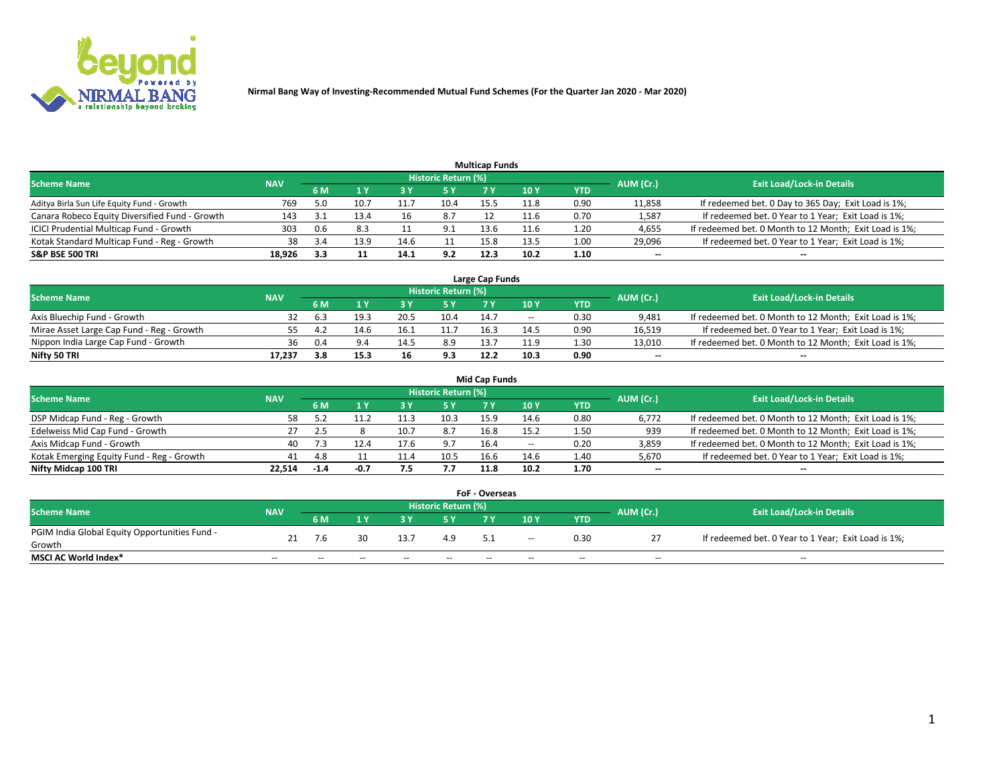

|                                                |            |     |      |      |                     | <b>Multicap Funds</b> |      |      |                          |                                                        |
|------------------------------------------------|------------|-----|------|------|---------------------|-----------------------|------|------|--------------------------|--------------------------------------------------------|
| Scheme Name                                    | <b>NAV</b> |     |      |      | Historic Return (%) |                       |      |      | AUM (Cr.)                | <b>Exit Load/Lock-in Details</b>                       |
|                                                |            | 6 M |      |      | 5 Y                 |                       | 10 ۱ | YTD  |                          |                                                        |
| Aditya Birla Sun Life Equity Fund - Growth     | 769        | 5.0 | 10.7 |      | 10.4                | 15.5                  | 11.8 | 0.90 | 11,858                   | If redeemed bet. 0 Day to 365 Day; Exit Load is 1%;    |
| Canara Robeco Equity Diversified Fund - Growth | 143        |     | 13.4 | 16   | 8.7                 |                       | 11.6 | 0.70 | 1,587                    | If redeemed bet. 0 Year to 1 Year; Exit Load is 1%;    |
| ICICI Prudential Multicap Fund - Growth        | 303        | 0.6 |      |      | 9.1                 | 13.6                  | 11.6 | 1.20 | 4,655                    | If redeemed bet. 0 Month to 12 Month; Exit Load is 1%; |
| Kotak Standard Multicap Fund - Reg - Growth    | 38         |     | 13.9 |      |                     | 15.8                  | 13.5 | 1.00 | 29,096                   | If redeemed bet. 0 Year to 1 Year; Exit Load is 1%;    |
| <b>S&amp;P BSE 500 TRI</b>                     | 18.926     | 3.3 |      | 14.1 | 9.2                 | 12.3                  | 10.2 | 1.10 | $\overline{\phantom{a}}$ | $- -$                                                  |

| Large Cap Funds                           |            |     |      |      |                     |      |        |      |           |                                                        |  |  |  |  |
|-------------------------------------------|------------|-----|------|------|---------------------|------|--------|------|-----------|--------------------------------------------------------|--|--|--|--|
| Scheme Name                               | <b>NAV</b> |     |      |      | Historic Return (%) |      |        |      | AUM (Cr.) | <b>Exit Load/Lock-in Details</b>                       |  |  |  |  |
|                                           |            | 6 M |      |      | 5 Y                 |      | 10Y    | YTD  |           |                                                        |  |  |  |  |
| Axis Bluechip Fund - Growth               |            |     | 19.3 | 20.5 | 10.4                | 14.7 | $\sim$ | 0.30 | 9,481     | If redeemed bet. 0 Month to 12 Month; Exit Load is 1%; |  |  |  |  |
| Mirae Asset Large Cap Fund - Reg - Growth | 55.        |     | 14.6 | 16.1 |                     | 16.3 | 14.5   | 0.90 | 16,519    | If redeemed bet. 0 Year to 1 Year; Exit Load is 1%;    |  |  |  |  |
| Nippon India Large Cap Fund - Growth      | 36         | 0.4 |      | 14.5 | 8.9                 | 12.7 | 11.9   | 1.30 | 13,010    | If redeemed bet. 0 Month to 12 Month; Exit Load is 1%; |  |  |  |  |
| Nifty 50 TRI                              | 17.237     | 3.8 | 15.3 | 16   | 9.3                 | 12.2 | 10.3   | 0.90 | $\sim$    | $-$                                                    |  |  |  |  |

|                                           |            |        |        |      |                     | <b>Mid Cap Funds</b> |        |            |           |                                                        |
|-------------------------------------------|------------|--------|--------|------|---------------------|----------------------|--------|------------|-----------|--------------------------------------------------------|
| <b>Scheme Name</b>                        | <b>NAV</b> |        |        |      | Historic Return (%) |                      |        |            | AUM (Cr.) | <b>Exit Load/Lock-in Details</b>                       |
|                                           |            | 6 M    |        |      |                     |                      | 10Y    | <b>YTD</b> |           |                                                        |
| DSP Midcap Fund - Reg - Growth            | 58         |        |        | 11.3 | 10.3                | 15.9                 | 14.6   | 0.80       | 6,772     | If redeemed bet. 0 Month to 12 Month; Exit Load is 1%; |
| Edelweiss Mid Cap Fund - Growth           |            |        |        | 10.7 | 8.7                 | 16.8                 | 15.5   | 1.50       | 939       | If redeemed bet. 0 Month to 12 Month; Exit Load is 1%; |
| Axis Midcap Fund - Growth                 | 40         |        |        | 17.6 | 9.7                 | 16.4                 | $\sim$ | 0.20       | 3,859     | If redeemed bet. 0 Month to 12 Month; Exit Load is 1%; |
| Kotak Emerging Equity Fund - Reg - Growth | 41         | 4.8    |        | 11.4 | 10.5                | 16.6                 | 14.6   | 1.40       | 5,670     | If redeemed bet. 0 Year to 1 Year; Exit Load is 1%;    |
| Nifty Midcap 100 TRI                      | 22.514     | $-1.4$ | $-0.7$ |      | 7.7                 | 11.8                 | 10.2   | 1.70       | $\sim$    | $- -$                                                  |

| <b>FoF - Overseas</b>                         |            |       |       |                                  |       |    |               |            |           |                                                     |  |  |  |  |
|-----------------------------------------------|------------|-------|-------|----------------------------------|-------|----|---------------|------------|-----------|-----------------------------------------------------|--|--|--|--|
| <b>Scheme Name</b>                            | <b>NAV</b> |       |       | <b>Exit Load/Lock-in Details</b> |       |    |               |            |           |                                                     |  |  |  |  |
|                                               |            | 6 M   |       |                                  |       |    | 10Y           | <b>YTD</b> | AUM (Cr.) |                                                     |  |  |  |  |
| PGIM India Global Equity Opportunities Fund - | 21         | 7.6   |       | 13.7                             | 4.9   | 51 | $\sim$ $\sim$ | 0.30       |           | If redeemed bet. 0 Year to 1 Year; Exit Load is 1%; |  |  |  |  |
| Growth                                        |            |       |       |                                  |       |    |               |            |           |                                                     |  |  |  |  |
| <b>MSCI AC World Index*</b>                   | $- -$      | $- -$ | $- -$ | $- -$                            | $- -$ | -- | $- -$         | $- -$      | $- -$     | $- -$                                               |  |  |  |  |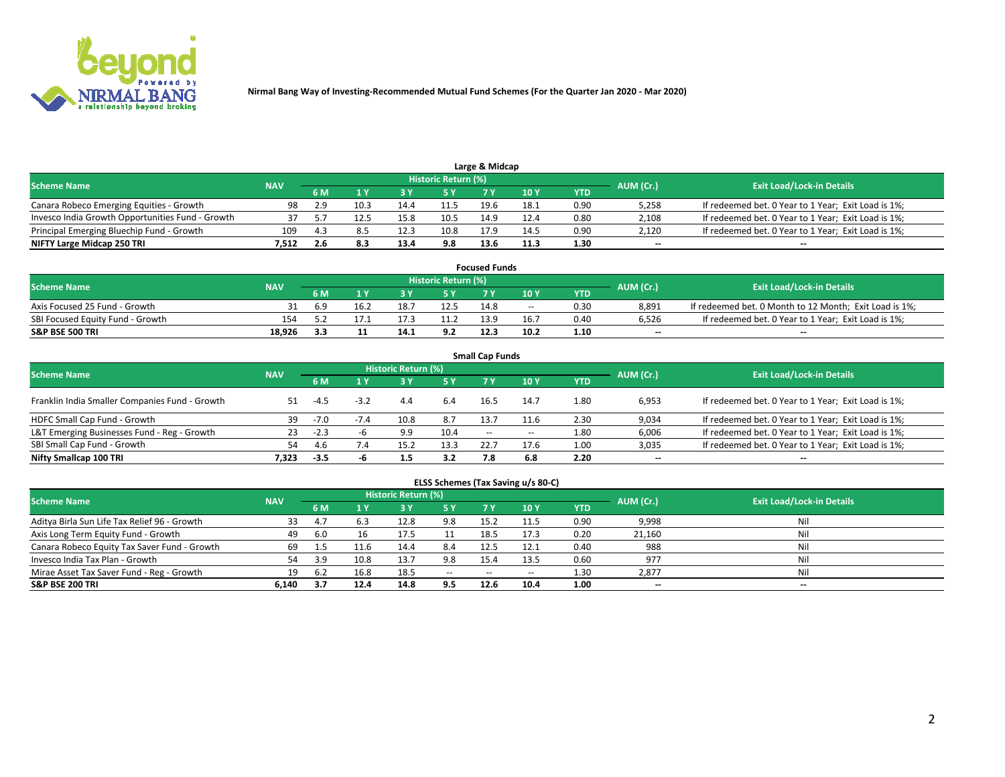

|                                                  |            |     |      |      |                     | Large & Midcap |      |      |           |                                                     |
|--------------------------------------------------|------------|-----|------|------|---------------------|----------------|------|------|-----------|-----------------------------------------------------|
| <b>Scheme Name</b>                               | <b>NAV</b> |     |      |      | Historic Return (%) |                |      |      | AUM (Cr.) | <b>Exit Load/Lock-in Details</b>                    |
|                                                  |            | 6 M |      |      | <b>5 Y</b>          |                | 10 Y | YTD  |           |                                                     |
| Canara Robeco Emerging Equities - Growth         | 98         | 2.9 | 10.3 | 14.4 |                     | 19.6           | 18.1 | 0.90 | 5,258     | If redeemed bet. 0 Year to 1 Year; Exit Load is 1%; |
| Invesco India Growth Opportunities Fund - Growth |            |     |      | 15.8 | 10.5                | 14.9           | 12.4 | 0.80 | 2,108     | If redeemed bet. 0 Year to 1 Year; Exit Load is 1%; |
| Principal Emerging Bluechip Fund - Growth        | 109        | 4.5 |      | 12.3 | 10.8                | 17.9           | 14.5 | 0.90 | 2,120     | If redeemed bet. 0 Year to 1 Year; Exit Load is 1%; |
| NIFTY Large Midcap 250 TRI                       | 7.512      |     | 8.3  | 13.4 | 9.8                 | 13.6           | 11.3 | 1.30 | $- -$     | $-$                                                 |

| <b>Focused Funds</b>             |            |      |      |  |                     |      |       |      |           |                                                        |  |  |  |
|----------------------------------|------------|------|------|--|---------------------|------|-------|------|-----------|--------------------------------------------------------|--|--|--|
| <b>Scheme Name</b>               | <b>NAV</b> |      |      |  | Historic Return (%) |      |       |      |           | <b>Exit Load/Lock-in Details</b>                       |  |  |  |
|                                  |            | 6 M  |      |  |                     |      | 10 Y  | YTD  | AUM (Cr.) |                                                        |  |  |  |
| Axis Focused 25 Fund - Growth    |            | -6.9 | 16.2 |  | 12.5                | 14.8 | $- -$ | 0.30 | 8.891     | If redeemed bet. 0 Month to 12 Month; Exit Load is 1%; |  |  |  |
| SBI Focused Equity Fund - Growth |            |      |      |  |                     | 13.9 | 16.7  | 0.40 | 6.526     | If redeemed bet. 0 Year to 1 Year; Exit Load is 1%;    |  |  |  |
| <b>S&amp;P BSE 500 TRI</b>       | 18.926     |      |      |  | 9.2                 | 12.3 | 10.2  | 1.10 | $\sim$    | $- -$                                                  |  |  |  |

| <b>Small Cap Funds</b>                         |            |        |        |                     |      |        |       |      |           |                                                     |  |  |  |  |
|------------------------------------------------|------------|--------|--------|---------------------|------|--------|-------|------|-----------|-----------------------------------------------------|--|--|--|--|
| <b>Scheme Name</b>                             | <b>NAV</b> |        |        | Historic Return (%) |      |        |       |      | AUM (Cr.) | <b>Exit Load/Lock-in Details</b>                    |  |  |  |  |
|                                                |            | 6 M    |        | 3Y                  | 5 Y  | 7 Y    | 10Y   | YTD  |           |                                                     |  |  |  |  |
| Franklin India Smaller Companies Fund - Growth |            | $-4.5$ | $-3.2$ | 4.4                 | 6.4  | 16.5   | 14.7  | 1.80 | 6,953     | If redeemed bet. 0 Year to 1 Year; Exit Load is 1%; |  |  |  |  |
| HDFC Small Cap Fund - Growth                   | 39         | $-7.0$ |        | 10.8                | 8.7  | 13.7   | 11.6  | 2.30 | 9,034     | If redeemed bet. 0 Year to 1 Year; Exit Load is 1%; |  |  |  |  |
| L&T Emerging Businesses Fund - Reg - Growth    | 23         | $-2.3$ |        | 9.9                 | 10.4 | $\sim$ | $- -$ | 1.80 | 6,006     | If redeemed bet. 0 Year to 1 Year; Exit Load is 1%; |  |  |  |  |
| SBI Small Cap Fund - Growth                    | 54         | 4.6    | 7.4    | 15.2                | 13.3 | 22.7   | 17.6  | 1.00 | 3,035     | If redeemed bet. 0 Year to 1 Year; Exit Load is 1%; |  |  |  |  |
| Nifty Smallcap 100 TRI                         | 7.323      | $-3.5$ |        |                     | 3.2  | 7.8    | 6.8   | 2.20 | $\sim$    | $- -$                                               |  |  |  |  |

## **ELSS Schemes (Tax Saving u/s 80-C)**

| <b>Scheme Name</b>                           | <b>NAV</b> |      |      | <b>Historic Return (%)</b> |           |      |        |            | AUM (Cr.) | <b>Exit Load/Lock-in Details</b> |
|----------------------------------------------|------------|------|------|----------------------------|-----------|------|--------|------------|-----------|----------------------------------|
|                                              |            | 6 M  | 1 Y  |                            | <b>5Y</b> | 7 Y  | $-10Y$ | <b>YTD</b> |           |                                  |
| Aditya Birla Sun Life Tax Relief 96 - Growth | 33         | 4.7  |      | 12.8                       | 9.8       | 15.2 |        | 0.90       | 9,998     | Nil                              |
| Axis Long Term Equity Fund - Growth          | 49         | -6.0 | 16   | 17.5                       |           | 18.5 | 17.3   | 0.20       | 21,160    | Nil                              |
| Canara Robeco Equity Tax Saver Fund - Growth | 69         |      | .1.6 | 14.4                       | 8.4       | 12.5 | 12.1   | 0.40       | 988       | Nil                              |
| Invesco India Tax Plan - Growth              | 54         | 3.9  | 10.8 | 13.7                       | 9.8       | 15/2 | 13.5   | 0.60       | 977       | Nil                              |
| Mirae Asset Tax Saver Fund - Reg - Growth    | 19         |      | 16.8 | 18.5                       | $- -$     | $-$  | --     | 1.30       | 2,877     | Nil                              |
| <b>S&amp;P BSE 200 TRI</b>                   | 6.140      |      | 12.4 | 14.8                       | 9.5       | 12.6 | 10.4   | 1.00       | $\sim$    | $- -$                            |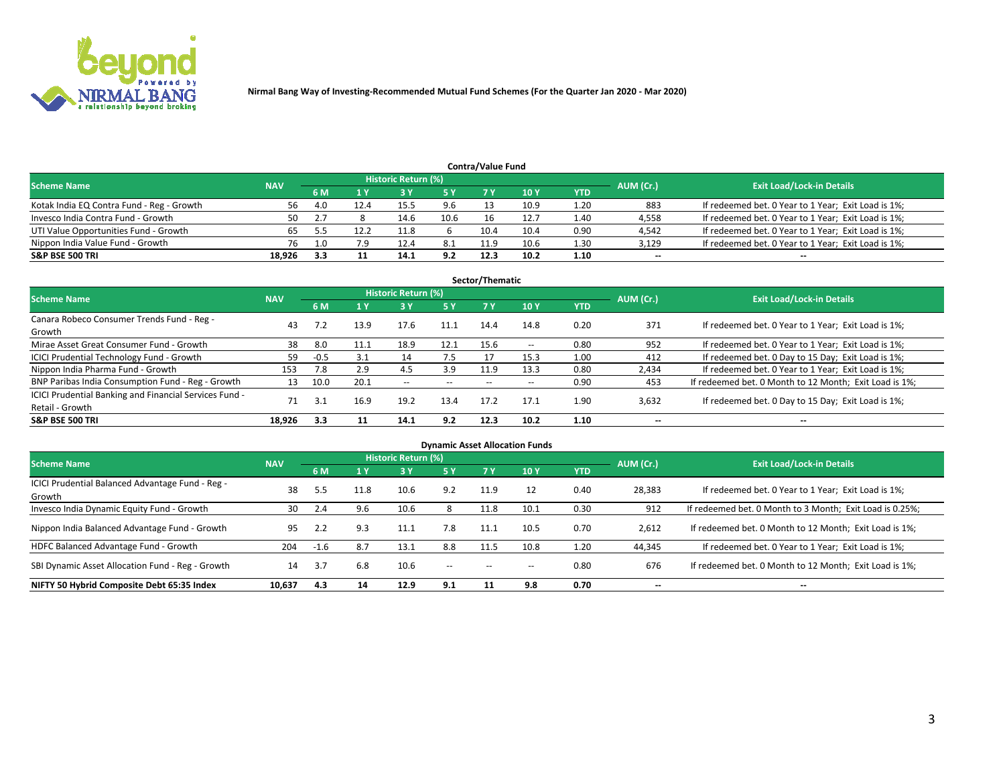

| <b>Contra/Value Fund</b><br>Historic Return (%) |            |     |      |      |      |      |      |      |           |                                                     |  |  |  |
|-------------------------------------------------|------------|-----|------|------|------|------|------|------|-----------|-----------------------------------------------------|--|--|--|
| <b>Scheme Name</b>                              | <b>NAV</b> |     |      |      |      |      |      |      | AUM (Cr.) | <b>Exit Load/Lock-in Details</b>                    |  |  |  |
|                                                 |            | 6 M |      |      | 5 Y  | 7 V  | 10Y  | YTD  |           |                                                     |  |  |  |
| Kotak India EQ Contra Fund - Reg - Growth       | 56         | 4.0 | 12.4 | 15.5 | 9.6  |      | 10.9 | 1.20 | 883       | If redeemed bet. 0 Year to 1 Year; Exit Load is 1%; |  |  |  |
| Invesco India Contra Fund - Growth              | 50         |     |      | 14.6 | 10.6 |      | 12.7 | 1.40 | 4,558     | If redeemed bet. 0 Year to 1 Year; Exit Load is 1%; |  |  |  |
| UTI Value Opportunities Fund - Growth           | 65         |     |      | 11.8 |      | 10.4 | 10.4 | 0.90 | 4,542     | If redeemed bet. 0 Year to 1 Year; Exit Load is 1%; |  |  |  |
| Nippon India Value Fund - Growth                | 76         |     | 7.9  | 12.4 | 8.1  | 11.9 | 10.6 | 1.30 | 3,129     | If redeemed bet. 0 Year to 1 Year; Exit Load is 1%; |  |  |  |
| <b>S&amp;P BSE 500 TRI</b>                      | 18,926     |     |      | 14.1 | 9.2  | 12.3 | 10.2 | 1.10 | $\sim$    | $- -$                                               |  |  |  |

| Sector/Thematic                                                           |            |        |      |                          |           |       |                          |            |                          |                                                        |  |  |  |
|---------------------------------------------------------------------------|------------|--------|------|--------------------------|-----------|-------|--------------------------|------------|--------------------------|--------------------------------------------------------|--|--|--|
| <b>Scheme Name</b>                                                        | <b>NAV</b> |        |      | Historic Return (%)      |           |       |                          |            | AUM (Cr.)                | <b>Exit Load/Lock-in Details</b>                       |  |  |  |
|                                                                           |            | 6 M    | 1 Y  | 73 Y                     | <b>5Y</b> | 7 Y   | 10Y                      | <b>YTD</b> |                          |                                                        |  |  |  |
| Canara Robeco Consumer Trends Fund - Reg -<br>Growth                      | 43         | 7.2    | 13.9 | 17.6                     | 11.1      | 14.4  | 14.8                     | 0.20       | 371                      | If redeemed bet. 0 Year to 1 Year; Exit Load is 1%;    |  |  |  |
| Mirae Asset Great Consumer Fund - Growth                                  | 38         | 8.0    | 11.1 | 18.9                     | 12.1      | 15.6  | $\overline{\phantom{a}}$ | 0.80       | 952                      | If redeemed bet. 0 Year to 1 Year; Exit Load is 1%;    |  |  |  |
| ICICI Prudential Technology Fund - Growth                                 | 59         | $-0.5$ | 3.1  | 14                       | 7.5       |       | 15.3                     | 1.00       | 412                      | If redeemed bet. 0 Day to 15 Day; Exit Load is 1%;     |  |  |  |
| Nippon India Pharma Fund - Growth                                         | 153        | 7.8    | 2.9  | 4.5                      | 3.9       | 11.9  | 13.3                     | 0.80       | 2,434                    | If redeemed bet. 0 Year to 1 Year; Exit Load is 1%;    |  |  |  |
| BNP Paribas India Consumption Fund - Reg - Growth                         | 13         | 10.0   | 20.1 | $\overline{\phantom{a}}$ | $- -$     | $- -$ | $- -$                    | 0.90       | 453                      | If redeemed bet. 0 Month to 12 Month; Exit Load is 1%; |  |  |  |
| ICICI Prudential Banking and Financial Services Fund -<br>Retail - Growth | 71         | 3.1    | 16.9 | 19.2                     | 13.4      | 17.2  | 17.1                     | 1.90       | 3,632                    | If redeemed bet. 0 Day to 15 Day; Exit Load is 1%;     |  |  |  |
| <b>S&amp;P BSE 500 TRI</b>                                                | 18.926     | 3.3    |      | 14.1                     | 9.2       | 12.3  | 10.2                     | 1.10       | $\overline{\phantom{a}}$ | $\overline{\phantom{a}}$                               |  |  |  |

|                                                            |            |        |      |                     |               |                          | <b>Dynamic Asset Allocation Funds</b> |            |           |                                                          |
|------------------------------------------------------------|------------|--------|------|---------------------|---------------|--------------------------|---------------------------------------|------------|-----------|----------------------------------------------------------|
| <b>Scheme Name</b>                                         | <b>NAV</b> |        |      | Historic Return (%) |               |                          |                                       |            |           | <b>Exit Load/Lock-in Details</b>                         |
|                                                            |            | 6 M    |      | <b>3Y</b>           | 5 Y           |                          | 10 <sub>Y</sub>                       | <b>YTD</b> | AUM (Cr.) |                                                          |
| ICICI Prudential Balanced Advantage Fund - Reg -<br>Growth | 38         | 5.5    | 11.8 | 10.6                | 9.2           | 11.9                     |                                       | 0.40       | 28,383    | If redeemed bet. 0 Year to 1 Year; Exit Load is 1%;      |
| Invesco India Dynamic Equity Fund - Growth                 | 30         | 2.4    | 9.6  | 10.6                | 8             | 11.8                     | 10.1                                  | 0.30       | 912       | If redeemed bet. 0 Month to 3 Month; Exit Load is 0.25%; |
| Nippon India Balanced Advantage Fund - Growth              | 95         | 2.2    | 9.3  | 11.1                | 7.8           | 11.1                     | 10.5                                  | 0.70       | 2,612     | If redeemed bet. 0 Month to 12 Month; Exit Load is 1%;   |
| HDFC Balanced Advantage Fund - Growth                      | 204        | $-1.6$ | 8.7  | 13.1                | 8.8           | 11.5                     | 10.8                                  | 1.20       | 44,345    | If redeemed bet. 0 Year to 1 Year; Exit Load is 1%;      |
| SBI Dynamic Asset Allocation Fund - Reg - Growth           | 14         | 3.7    | 6.8  | 10.6                | $\sim$ $\sim$ | $\overline{\phantom{a}}$ | $- -$                                 | 0.80       | 676       | If redeemed bet. 0 Month to 12 Month; Exit Load is 1%;   |
| NIFTY 50 Hybrid Composite Debt 65:35 Index                 | 10,637     | 4.3    | 14   | 12.9                | 9.1           | 11                       | 9.8                                   | 0.70       | $\sim$    | $\overline{\phantom{a}}$                                 |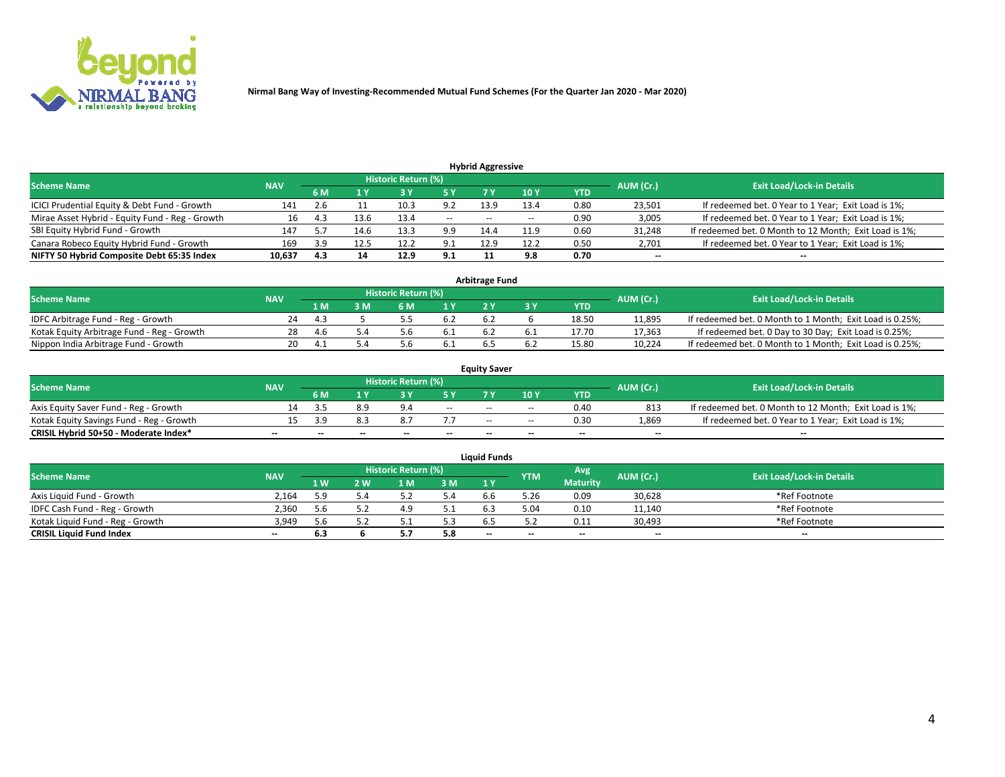

| <b>Hybrid Aggressive</b>                        |            |     |      |                            |        |                          |       |      |                          |                                                        |  |  |  |  |
|-------------------------------------------------|------------|-----|------|----------------------------|--------|--------------------------|-------|------|--------------------------|--------------------------------------------------------|--|--|--|--|
| <b>Scheme Name</b>                              | <b>NAV</b> |     |      | <b>Historic Return (%)</b> |        |                          |       |      | AUM (Cr.)                | <b>Exit Load/Lock-in Details</b>                       |  |  |  |  |
|                                                 |            | 6 M |      |                            |        |                          | 10Y   | YTD  |                          |                                                        |  |  |  |  |
| ICICI Prudential Equity & Debt Fund - Growth    | 141        |     |      | 10.3                       | 9.2    | 13.9                     | 13.4  | 0.80 | 23,501                   | If redeemed bet. 0 Year to 1 Year; Exit Load is 1%;    |  |  |  |  |
| Mirae Asset Hybrid - Equity Fund - Reg - Growth | 16         | 4.3 | 13.6 | 13.4                       | $\sim$ | $\overline{\phantom{a}}$ | $- -$ | 0.90 | 3,005                    | If redeemed bet. 0 Year to 1 Year; Exit Load is 1%;    |  |  |  |  |
| SBI Equity Hybrid Fund - Growth                 | 147        |     | 14.6 | 13.3                       | 9.9    | 14.4                     | 11.9  | 0.60 | 31,248                   | If redeemed bet. 0 Month to 12 Month; Exit Load is 1%; |  |  |  |  |
| Canara Robeco Equity Hybrid Fund - Growth       | 169        | 3.9 | 12.5 | 12.2                       | ، ۹    | 12.9                     | 12.2  | 0.50 | 2,701                    | If redeemed bet. 0 Year to 1 Year; Exit Load is 1%;    |  |  |  |  |
| NIFTY 50 Hybrid Composite Debt 65:35 Index      | 10,637     | 4.3 | 14   | 12.9                       | 9.1    |                          | 9.8   | 0.70 | $\overline{\phantom{a}}$ | $- -$                                                  |  |  |  |  |

|                                            | <b>Arbitrage Fund</b> |                                  |     |      |      |    |  |       |        |                                                          |  |  |  |  |  |
|--------------------------------------------|-----------------------|----------------------------------|-----|------|------|----|--|-------|--------|----------------------------------------------------------|--|--|--|--|--|
| <b>Scheme Name</b>                         | AUM (Cr.)             | <b>Exit Load/Lock-in Details</b> |     |      |      |    |  |       |        |                                                          |  |  |  |  |  |
|                                            | <b>NAV</b>            | 1 M                              | ያ M | 6 M  |      |    |  | YTD   |        |                                                          |  |  |  |  |  |
| IDFC Arbitrage Fund - Reg - Growth         | 24                    |                                  |     |      | -6.2 |    |  | 18.50 | 11,895 | If redeemed bet. 0 Month to 1 Month; Exit Load is 0.25%; |  |  |  |  |  |
| Kotak Equity Arbitrage Fund - Reg - Growth | 28                    | -4.6                             |     |      | 0.1  |    |  | 17.70 | 17,363 | If redeemed bet. 0 Day to 30 Day; Exit Load is 0.25%;    |  |  |  |  |  |
| Nippon India Arbitrage Fund - Growth       | 20.                   |                                  |     | .J.D | 0.1  | D. |  | 15.80 | 10,224 | If redeemed bet. 0 Month to 1 Month; Exit Load is 0.25%; |  |  |  |  |  |

|                                          |            |           |                                  |                          |                          | <b>Equity Saver</b> |               |            |                          |                                                        |
|------------------------------------------|------------|-----------|----------------------------------|--------------------------|--------------------------|---------------------|---------------|------------|--------------------------|--------------------------------------------------------|
| Scheme Name                              | <b>NAV</b> | AUM (Cr.) | <b>Exit Load/Lock-in Details</b> |                          |                          |                     |               |            |                          |                                                        |
|                                          |            | 6 M       |                                  |                          | 5 Y                      |                     | $\sqrt{10}$ Y | <b>YTD</b> |                          |                                                        |
| Axis Equity Saver Fund - Reg - Growth    |            |           | 8.9                              | $Q \Lambda$              | $\sim$                   | $- -$               | $- -$         | 0.40       | 813                      | If redeemed bet. 0 Month to 12 Month; Exit Load is 1%; |
| Kotak Equity Savings Fund - Reg - Growth |            | 2 Q       |                                  |                          |                          | $\sim$ $\sim$       | $- -$         | 0.30       | 1,869                    | If redeemed bet. 0 Year to 1 Year; Exit Load is 1%;    |
| CRISIL Hybrid 50+50 - Moderate Index*    |            | $-$       | $-$                              | $\overline{\phantom{a}}$ | $\overline{\phantom{a}}$ | $\sim$              | --            | $- -$      | $\overline{\phantom{a}}$ | $- -$                                                  |

| <b>Liquid Funds</b>              |            |      |     |                            |     |                          |            |                 |           |                                  |  |  |  |  |
|----------------------------------|------------|------|-----|----------------------------|-----|--------------------------|------------|-----------------|-----------|----------------------------------|--|--|--|--|
| Scheme Name                      | <b>NAV</b> |      |     | <b>Historic Return (%)</b> |     |                          | <b>YTM</b> | Avg             | AUM (Cr.) | <b>Exit Load/Lock-in Details</b> |  |  |  |  |
|                                  |            | 1 W. | 2 W | 1 M                        | 3M  | 71 Y                     |            | <b>Maturity</b> |           |                                  |  |  |  |  |
| Axis Liquid Fund - Growth        | 2,164      | 9.د  |     |                            | 5.4 | b.b                      | 5.26       | 0.09            | 30,628    | *Ref Footnote                    |  |  |  |  |
| IDFC Cash Fund - Reg - Growth    | 2.360      |      |     | 4.9                        | 5.1 | 6.3                      | 5.04       | 0.10            | 11,140    | *Ref Footnote                    |  |  |  |  |
| Kotak Liquid Fund - Reg - Growth | 3,949      |      |     |                            | 5.3 |                          |            | 0.11            | 30,493    | *Ref Footnote                    |  |  |  |  |
| <b>CRISIL Liquid Fund Index</b>  | $\sim$     | 6.3  |     |                            | 5.8 | $\overline{\phantom{a}}$ | $-$        | $- -$           | $\sim$    | $\sim$                           |  |  |  |  |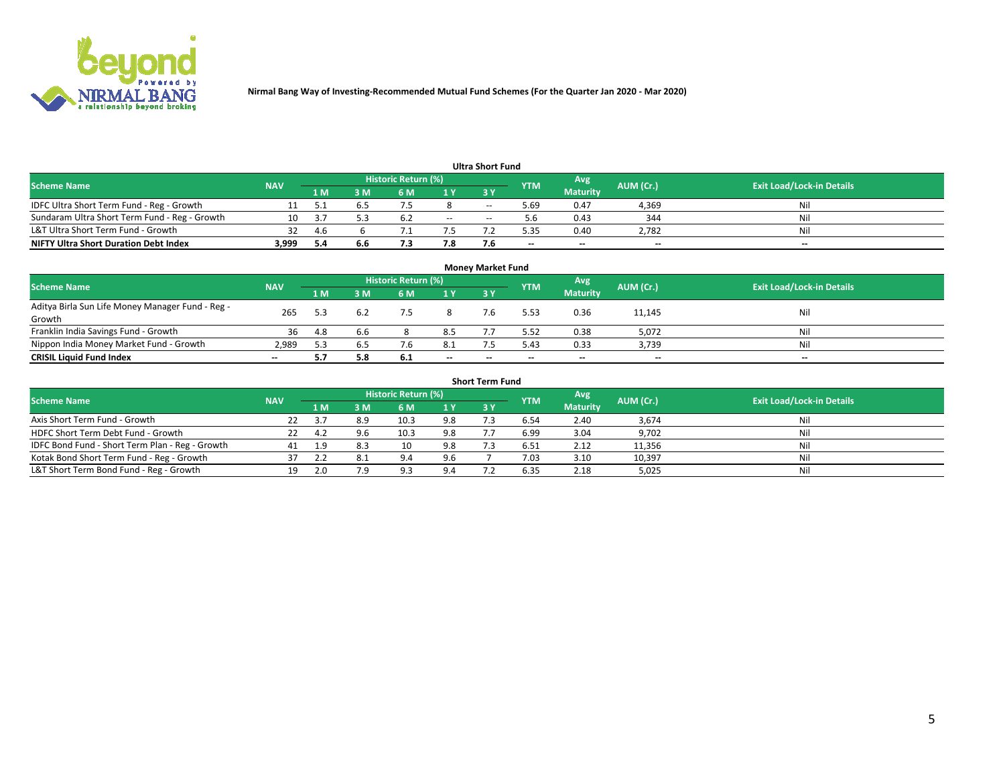

| <b>Ultra Short Fund</b>                       |            |      |     |                     |        |            |            |                 |           |                                  |  |  |  |  |
|-----------------------------------------------|------------|------|-----|---------------------|--------|------------|------------|-----------------|-----------|----------------------------------|--|--|--|--|
| <b>Scheme Name</b>                            | <b>NAV</b> |      |     | Historic Return (%) |        |            | <b>YTM</b> | Avg             | AUM (Cr.) | <b>Exit Load/Lock-in Details</b> |  |  |  |  |
|                                               |            | 1 M  | 3 M | 6 M                 | 1 Y    | <b>3 Y</b> |            | <b>Maturity</b> |           |                                  |  |  |  |  |
| IDFC Ultra Short Term Fund - Reg - Growth     |            |      |     |                     |        | $-$        | ۔ 69. ذ    | 0.47            | 4,369     | Nil                              |  |  |  |  |
| Sundaram Ultra Short Term Fund - Reg - Growth |            |      |     | b.4                 | $\sim$ | $-$        |            | 0.43            | 344       | Nil                              |  |  |  |  |
| L&T Ultra Short Term Fund - Growth            | 32         | -4.6 |     |                     |        |            | 5.35       | 0.40            | 2,782     | Nil                              |  |  |  |  |
| <b>NIFTY Ultra Short Duration Debt Index</b>  | 3,999      | -5.4 | 6.6 |                     | 7.8    |            | --         | $-$             | $- -$     | $- -$                            |  |  |  |  |

| <b>Money Market Fund</b>                         |            |     |     |                     |                |     |            |                 |           |                                  |  |  |  |  |
|--------------------------------------------------|------------|-----|-----|---------------------|----------------|-----|------------|-----------------|-----------|----------------------------------|--|--|--|--|
| <b>Scheme Name</b>                               | <b>NAV</b> |     |     | Historic Return (%) |                |     | <b>YTM</b> | Avg             | AUM (Cr.) | <b>Exit Load/Lock-in Details</b> |  |  |  |  |
|                                                  |            | 1 M | 3 M | 6 M                 | 1 <sub>Y</sub> | 3 Y |            | <b>Maturity</b> |           |                                  |  |  |  |  |
| Aditya Birla Sun Life Money Manager Fund - Reg - | 265        | 5.3 |     | 7.5                 |                |     | 5.53       | 0.36            | 11,145    | Nil                              |  |  |  |  |
| Growth                                           |            |     |     |                     |                |     |            |                 |           |                                  |  |  |  |  |
| Franklin India Savings Fund - Growth             | 36         | 4.8 | 6.6 |                     | 8.5            |     | 5.52       | 0.38            | 5,072     | Nil                              |  |  |  |  |
| Nippon India Money Market Fund - Growth          | 2,989      |     | 6.5 | 7.6                 | 8.1            |     | 5.43       | 0.33            | 3,739     | Nil                              |  |  |  |  |
| <b>CRISIL Liquid Fund Index</b>                  | $- -$      |     | 5.8 | 6.1                 | $\sim$         | --  | --         | $\sim$          | $\sim$    | $- -$                            |  |  |  |  |

| <b>Short Term Fund</b>                          |            |      |     |                     |     |            |            |                 |           |                                  |  |  |  |  |
|-------------------------------------------------|------------|------|-----|---------------------|-----|------------|------------|-----------------|-----------|----------------------------------|--|--|--|--|
| <b>Scheme Name</b>                              | <b>NAV</b> |      |     | Historic Return (%) |     |            | <b>YTM</b> | Avg             | AUM (Cr.) | <b>Exit Load/Lock-in Details</b> |  |  |  |  |
|                                                 |            | 1 M  | 3 M | 6 M                 | 1 Y | <b>3 Y</b> |            | <b>Maturity</b> |           |                                  |  |  |  |  |
| Axis Short Term Fund - Growth                   |            |      | 8.9 | 10.3                | 9.8 |            | 6.54       | 2.40            | 3,674     | Nil                              |  |  |  |  |
| HDFC Short Term Debt Fund - Growth              | 22         | -4.2 | 9.6 | 10.3                | 9.8 |            | 6.99       | 3.04            | 9,702     | Nil                              |  |  |  |  |
| IDFC Bond Fund - Short Term Plan - Reg - Growth | 41         |      |     | 10                  | 9.8 |            | 6.51       | 2.12            | 11,356    | Nil                              |  |  |  |  |
| Kotak Bond Short Term Fund - Reg - Growth       |            |      | 8.1 | 9.4                 | 9.6 |            | 7.03       | 3.10            | 10,397    | Nil                              |  |  |  |  |
| L&T Short Term Bond Fund - Reg - Growth         | 19.        |      | 7 Q | د ۵                 | 9.4 |            | 6.35       | 2.18            | 5,025     | Nil                              |  |  |  |  |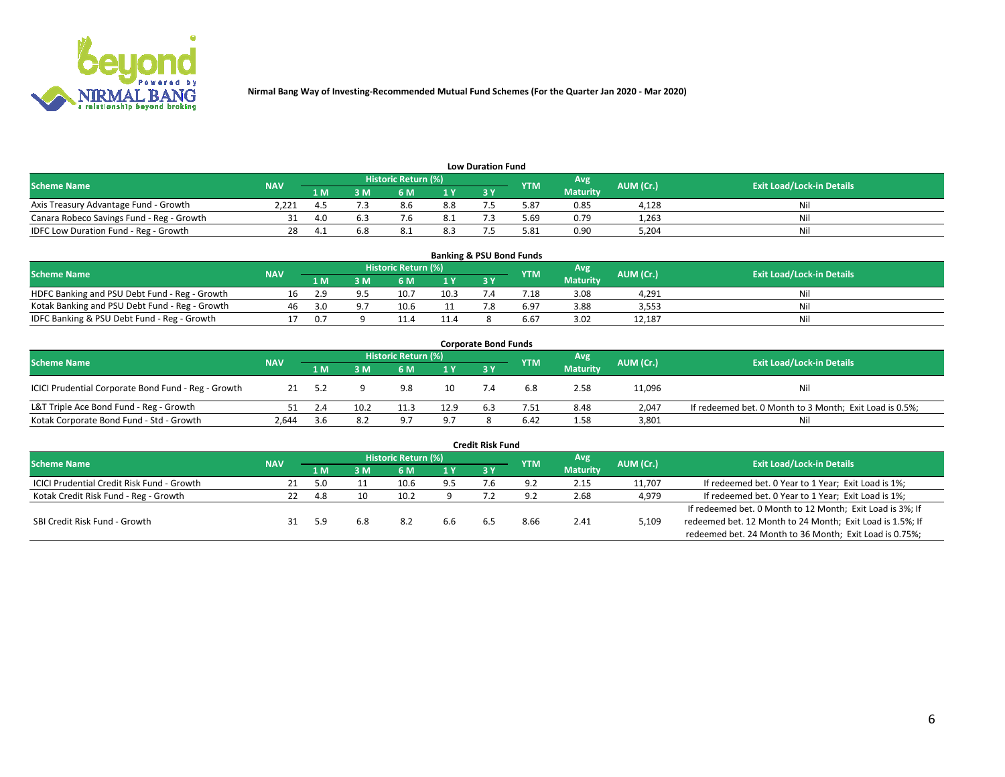

| <b>Low Duration Fund</b>                  |            |     |     |                            |      |  |            |                 |           |                                  |  |  |  |
|-------------------------------------------|------------|-----|-----|----------------------------|------|--|------------|-----------------|-----------|----------------------------------|--|--|--|
| <b>Scheme Name</b>                        | <b>NAV</b> |     |     | <b>Historic Return (%)</b> |      |  | <b>YTM</b> | Avg             | AUM (Cr.) | <b>Exit Load/Lock-in Details</b> |  |  |  |
|                                           |            | 1 M | ያ M | 5 M                        | 4 V. |  |            | <b>Maturity</b> |           |                                  |  |  |  |
| Axis Treasury Advantage Fund - Growth     | 2.221      |     |     | 8.6                        | 8.8  |  | 5.87       | 0.85            | 4,128     | Nil                              |  |  |  |
| Canara Robeco Savings Fund - Reg - Growth |            |     |     |                            | -8.1 |  | 5.69       | 0.79            | 1,263     | Nil                              |  |  |  |
| IDFC Low Duration Fund - Reg - Growth     |            |     | 6.8 | 8.⊥                        | 8.3  |  | 5.81       | 0.90            | 5,204     | Nil                              |  |  |  |

| <b>Banking &amp; PSU Bond Funds</b>            |            |       |    |                            |      |           |                 |                 |           |                                  |  |  |  |
|------------------------------------------------|------------|-------|----|----------------------------|------|-----------|-----------------|-----------------|-----------|----------------------------------|--|--|--|
| <b>Scheme Name</b>                             | <b>NAV</b> |       |    | <b>Historic Return (%)</b> |      |           | <b>YTM</b>      | Avg             | AUM (Cr.) | <b>Exit Load/Lock-in Details</b> |  |  |  |
|                                                |            | 1 M   | sм | 6 M                        | 71 Y | <b>3Y</b> |                 | <b>Maturity</b> |           |                                  |  |  |  |
| HDFC Banking and PSU Debt Fund - Reg - Growth  |            | 2.9   |    | 10.                        | 10.3 |           | $^{\prime}$ .18 | 3.08            | 4.291     | Ni                               |  |  |  |
| Kotak Banking and PSU Debt Fund - Reg - Growth | 46         | 3.0   |    | 10.6                       |      |           | 6.97            | 3.88            | 3,553     | Ni                               |  |  |  |
| IDFC Banking & PSU Debt Fund - Reg - Growth    |            | . በ 7 |    |                            | 11.4 |           | 6.67            | 3.02            | 12.187    | Ni                               |  |  |  |

| <b>Corporate Bond Funds</b>                         |            |     |      |                     |      |     |            |                 |           |                                                         |  |  |  |  |
|-----------------------------------------------------|------------|-----|------|---------------------|------|-----|------------|-----------------|-----------|---------------------------------------------------------|--|--|--|--|
| <b>Scheme Name</b>                                  | <b>NAV</b> |     |      | Historic Return (%) |      |     | <b>YTM</b> | Avg'            | AUM (Cr.) | <b>Exit Load/Lock-in Details</b>                        |  |  |  |  |
|                                                     |            | 1 M | : M  | 6 M                 | 1 Y  | 3Y  |            | <b>Maturity</b> |           |                                                         |  |  |  |  |
| ICICI Prudential Corporate Bond Fund - Reg - Growth |            |     |      | 9.8                 | 10   |     | 6.8        | 2.58            | 11,096    | Nil                                                     |  |  |  |  |
| L&T Triple Ace Bond Fund - Reg - Growth             |            |     | 10.2 |                     | 12.9 | 6.3 | 7.51       | 8.48            | 2,047     | If redeemed bet. 0 Month to 3 Month; Exit Load is 0.5%; |  |  |  |  |
| Kotak Corporate Bond Fund - Std - Growth            | 2.644      | 3.b | 8.2  | Q <sub>7</sub>      | 9.7  |     | 6.42       | 1.58            | 3,801     | Nil                                                     |  |  |  |  |

| <b>Credit Risk Fund</b>                           |            |     |     |                            |     |     |            |                 |           |                                                           |  |  |  |
|---------------------------------------------------|------------|-----|-----|----------------------------|-----|-----|------------|-----------------|-----------|-----------------------------------------------------------|--|--|--|
| <b>Scheme Name</b>                                | <b>NAV</b> |     |     | <b>Historic Return (%)</b> |     |     | <b>YTM</b> | 'Avg            | AUM (Cr.) | <b>Exit Load/Lock-in Details</b>                          |  |  |  |
|                                                   |            | 1 M | 3 M | 6 M                        | 1 Y | 3Y  |            | <b>Maturity</b> |           |                                                           |  |  |  |
| <b>ICICI Prudential Credit Risk Fund - Growth</b> | 21         | 5.0 |     | 10.6                       | 9.5 | 7.b | 9.2        | 2.15            | 11,707    | If redeemed bet. 0 Year to 1 Year; Exit Load is 1%;       |  |  |  |
| Kotak Credit Risk Fund - Reg - Growth             |            | 4.8 | 10  | 10.2                       |     |     |            | 2.68            | 4,979     | If redeemed bet. 0 Year to 1 Year; Exit Load is 1%;       |  |  |  |
|                                                   |            |     |     |                            |     |     |            |                 |           | If redeemed bet. 0 Month to 12 Month; Exit Load is 3%; If |  |  |  |
| SBI Credit Risk Fund - Growth                     |            |     | 6.8 | 8.2                        | 6.6 |     | 8.66       | 2.41            | 5,109     | redeemed bet. 12 Month to 24 Month; Exit Load is 1.5%; If |  |  |  |
|                                                   |            |     |     |                            |     |     |            |                 |           | redeemed bet. 24 Month to 36 Month; Exit Load is 0.75%;   |  |  |  |